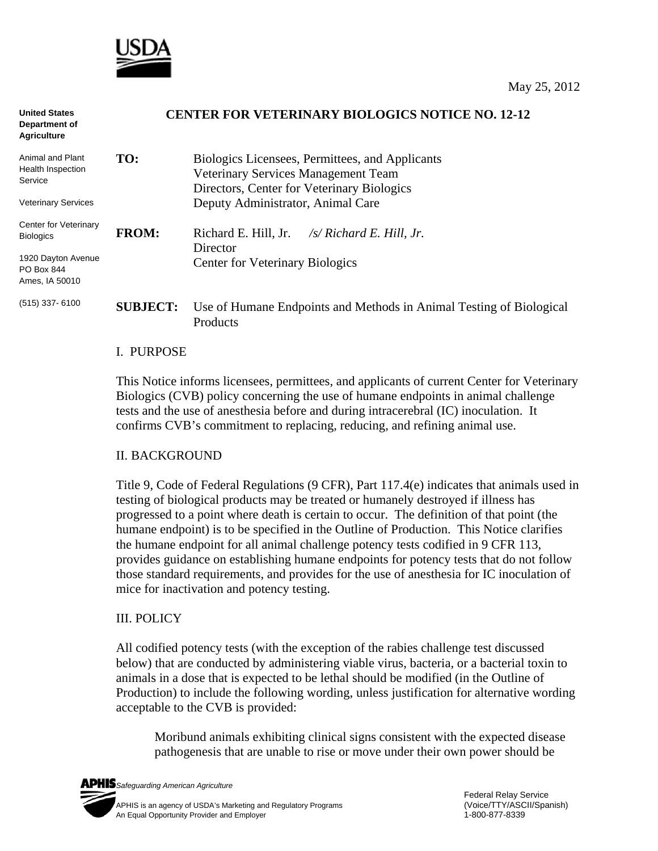

| <b>United States</b><br>Department of<br><b>Agriculture</b> | <b>CENTER FOR VETERINARY BIOLOGICS NOTICE NO. 12-12</b> |                                                                                                                                      |
|-------------------------------------------------------------|---------------------------------------------------------|--------------------------------------------------------------------------------------------------------------------------------------|
| Animal and Plant<br>Health Inspection<br>Service            | TO:                                                     | Biologics Licensees, Permittees, and Applicants<br>Veterinary Services Management Team<br>Directors, Center for Veterinary Biologics |
| <b>Veterinary Services</b>                                  |                                                         | Deputy Administrator, Animal Care                                                                                                    |
| Center for Veterinary<br><b>Biologics</b>                   | <b>FROM:</b>                                            | Richard E. Hill, Jr.<br>$\sqrt{s}$ Richard E. Hill, Jr.<br>Director                                                                  |
| 1920 Dayton Avenue<br>PO Box 844<br>Ames, IA 50010          |                                                         | <b>Center for Veterinary Biologics</b>                                                                                               |
| $(515)$ 337-6100                                            | <b>SUBJECT:</b>                                         | Use of Humane Endpoints and Methods in Animal Testing of Biological<br>Products                                                      |

### I. PURPOSE

This Notice informs licensees, permittees, and applicants of current Center for Veterinary Biologics (CVB) policy concerning the use of humane endpoints in animal challenge tests and the use of anesthesia before and during intracerebral (IC) inoculation. It confirms CVB's commitment to replacing, reducing, and refining animal use.

### II. BACKGROUND

Title 9, Code of Federal Regulations (9 CFR), Part 117.4(e) indicates that animals used in testing of biological products may be treated or humanely destroyed if illness has progressed to a point where death is certain to occur. The definition of that point (the humane endpoint) is to be specified in the Outline of Production. This Notice clarifies the humane endpoint for all animal challenge potency tests codified in 9 CFR 113, provides guidance on establishing humane endpoints for potency tests that do not follow those standard requirements, and provides for the use of anesthesia for IC inoculation of mice for inactivation and potency testing.

# III. POLICY

All codified potency tests (with the exception of the rabies challenge test discussed below) that are conducted by administering viable virus, bacteria, or a bacterial toxin to animals in a dose that is expected to be lethal should be modified (in the Outline of Production) to include the following wording, unless justification for alternative wording acceptable to the CVB is provided:

Moribund animals exhibiting clinical signs consistent with the expected disease pathogenesis that are unable to rise or move under their own power should be